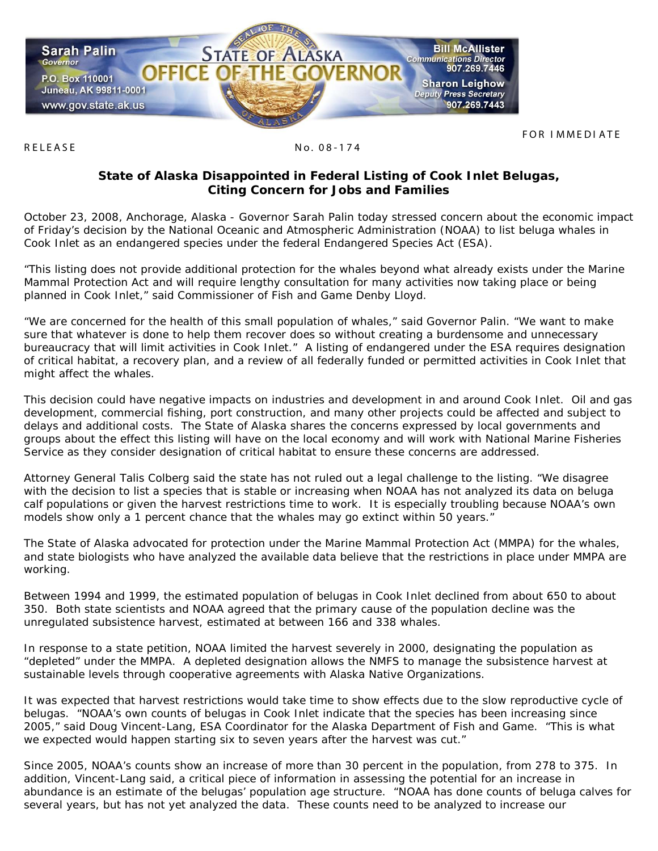

RELEASE No. 08-174

## **State of Alaska Disappointed in Federal Listing of Cook Inlet Belugas, Citing Concern for Jobs and Families**

October 23, 2008, Anchorage, Alaska - Governor Sarah Palin today stressed concern about the economic impact of Friday's decision by the National Oceanic and Atmospheric Administration (NOAA) to list beluga whales in Cook Inlet as an endangered species under the federal Endangered Species Act (ESA).

"This listing does not provide additional protection for the whales beyond what already exists under the Marine Mammal Protection Act and will require lengthy consultation for many activities now taking place or being planned in Cook Inlet," said Commissioner of Fish and Game Denby Lloyd.

"We are concerned for the health of this small population of whales," said Governor Palin. "We want to make sure that whatever is done to help them recover does so without creating a burdensome and unnecessary bureaucracy that will limit activities in Cook Inlet." A listing of endangered under the ESA requires designation of critical habitat, a recovery plan, and a review of all federally funded or permitted activities in Cook Inlet that might affect the whales.

This decision could have negative impacts on industries and development in and around Cook Inlet. Oil and gas development, commercial fishing, port construction, and many other projects could be affected and subject to delays and additional costs. The State of Alaska shares the concerns expressed by local governments and groups about the effect this listing will have on the local economy and will work with National Marine Fisheries Service as they consider designation of critical habitat to ensure these concerns are addressed.

Attorney General Talis Colberg said the state has not ruled out a legal challenge to the listing. "We disagree with the decision to list a species that is stable or increasing when NOAA has not analyzed its data on beluga calf populations or given the harvest restrictions time to work. It is especially troubling because NOAA's own models show only a 1 percent chance that the whales may go extinct within 50 years."

The State of Alaska advocated for protection under the Marine Mammal Protection Act (MMPA) for the whales, and state biologists who have analyzed the available data believe that the restrictions in place under MMPA are working.

Between 1994 and 1999, the estimated population of belugas in Cook Inlet declined from about 650 to about 350. Both state scientists and NOAA agreed that the primary cause of the population decline was the unregulated subsistence harvest, estimated at between 166 and 338 whales.

In response to a state petition, NOAA limited the harvest severely in 2000, designating the population as "depleted" under the MMPA. A depleted designation allows the NMFS to manage the subsistence harvest at sustainable levels through cooperative agreements with Alaska Native Organizations.

It was expected that harvest restrictions would take time to show effects due to the slow reproductive cycle of belugas. "NOAA's own counts of belugas in Cook Inlet indicate that the species has been increasing since 2005," said Doug Vincent-Lang, ESA Coordinator for the Alaska Department of Fish and Game. "This is what we expected would happen starting six to seven years after the harvest was cut."

Since 2005, NOAA's counts show an increase of more than 30 percent in the population, from 278 to 375. In addition, Vincent-Lang said, a critical piece of information in assessing the potential for an increase in abundance is an estimate of the belugas' population age structure. "NOAA has done counts of beluga calves for several years, but has not yet analyzed the data. These counts need to be analyzed to increase our